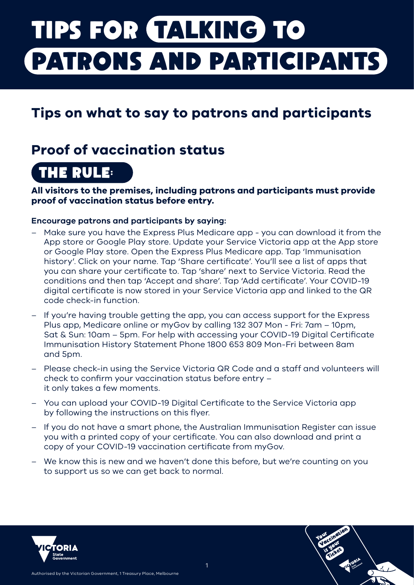# **TIPS FOR TALKING TO PATRONS AND PARTICIPANTS**

### **Tips on what to say to patrons and participants**

### **Proof of vaccination status**

# **THE RULE:**

**All visitors to the premises, including patrons and participants must provide proof of vaccination status before entry.**

#### **Encourage patrons and participants by saying:**

- Make sure you have the Express Plus Medicare app you can download it from the App store or Google Play store. Update your Service Victoria app at the App store or Google Play store. Open the Express Plus Medicare app. Tap 'Immunisation history'. Click on your name. Tap 'Share certificate'. You'll see a list of apps that you can share your certificate to. Tap 'share' next to Service Victoria. Read the conditions and then tap 'Accept and share'. Tap 'Add certificate'. Your COVID-19 digital certificate is now stored in your Service Victoria app and linked to the QR code check-in function.
- If you're having trouble getting the app, you can access support for the Express Plus app, Medicare online or myGov by calling 132 307 Mon - Fri: 7am – 10pm, Sat & Sun: 10am – 5pm. For help with accessing your COVID-19 Digital Certificate Immunisation History Statement Phone 1800 653 809 Mon-Fri between 8am and 5pm.
- Please check-in using the Service Victoria QR Code and a staff and volunteers will check to confirm your vaccination status before entry – it only takes a few moments.
- You can upload your COVID-19 Digital Certificate to the Service Victoria app by following the instructions on this flyer.
- If you do not have a smart phone, the Australian Immunisation Register can issue you with a printed copy of your certificate. You can also download and print a copy of your COVID-19 vaccination certificate from myGov.
- We know this is new and we haven't done this before, but we're counting on you to support us so we can get back to normal.



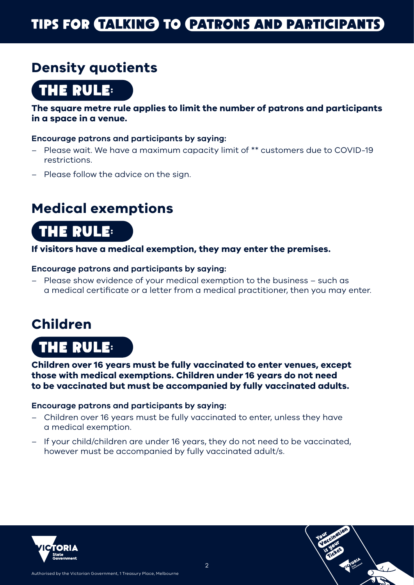# **TIPS FOR TALKING TO PATRONS AND PARTICIPANTS**

### **Density quotients**

**THE RULE:**

**The square metre rule applies to limit the number of patrons and participants in a space in a venue.** 

#### **Encourage patrons and participants by saying:**

- Please wait. We have a maximum capacity limit of \*\* customers due to COVID-19 restrictions.
- Please follow the advice on the sign.

### **Medical exemptions**

### **THE RULE:**

#### **If visitors have a medical exemption, they may enter the premises.**

#### **Encourage patrons and participants by saying:**

– Please show evidence of your medical exemption to the business – such as a medical certificate or a letter from a medical practitioner, then you may enter.

### **Children**

**THE RULE:**

**Children over 16 years must be fully vaccinated to enter venues, except those with medical exemptions. Children under 16 years do not need to be vaccinated but must be accompanied by fully vaccinated adults.** 

#### **Encourage patrons and participants by saying:**

- Children over 16 years must be fully vaccinated to enter, unless they have a medical exemption.
- If your child/children are under 16 years, they do not need to be vaccinated, however must be accompanied by fully vaccinated adult/s.



Authorised by the Victorian Government, 1 Treasury Place, Melbourne

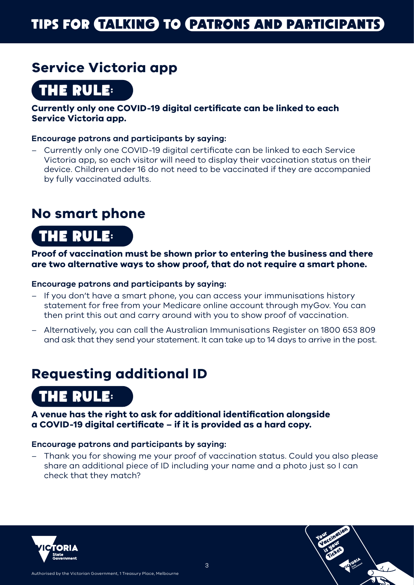### **Service Victoria app**

**THE RULE:**

#### **Currently only one COVID-19 digital certificate can be linked to each Service Victoria app.**

#### **Encourage patrons and participants by saying:**

– Currently only one COVID-19 digital certificate can be linked to each Service Victoria app, so each visitor will need to display their vaccination status on their device. Children under 16 do not need to be vaccinated if they are accompanied by fully vaccinated adults.

### **No smart phone**

# **THE RULE:**

#### **Proof of vaccination must be shown prior to entering the business and there are two alternative ways to show proof, that do not require a smart phone.**

#### **Encourage patrons and participants by saying:**

- If you don't have a smart phone, you can access your immunisations history statement for free from your Medicare online account through myGov. You can then print this out and carry around with you to show proof of vaccination.
- Alternatively, you can call the Australian Immunisations Register on 1800 653 809 and ask that they send your statement. It can take up to 14 days to arrive in the post.

### **Requesting additional ID**

# **THE RULE:**

#### **A venue has the right to ask for additional identification alongside a COVID-19 digital certificate – if it is provided as a hard copy.**

#### **Encourage patrons and participants by saying:**

Authorised by the Victorian Government, 1 Treasury Place, Melbourne

– Thank you for showing me your proof of vaccination status. Could you also please share an additional piece of ID including your name and a photo just so I can check that they match?